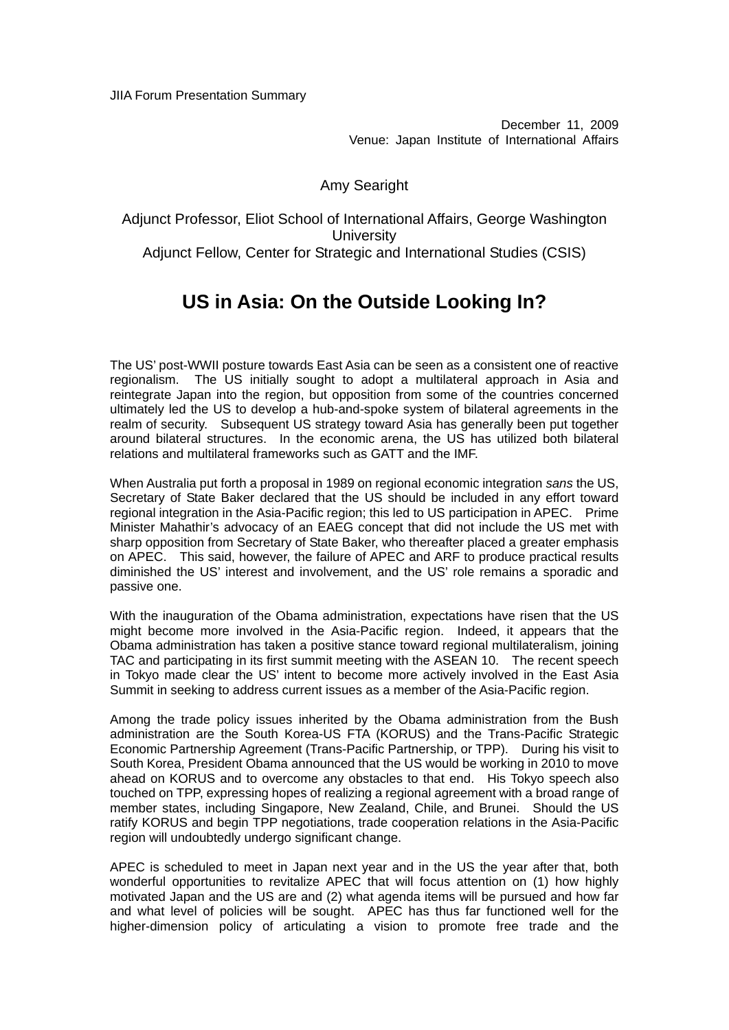December 11, 2009 Venue: Japan Institute of International Affairs

## Amy Searight

Adjunct Professor, Eliot School of International Affairs, George Washington **University** Adjunct Fellow, Center for Strategic and International Studies (CSIS)

## **US in Asia: On the Outside Looking In?**

The US' post-WWII posture towards East Asia can be seen as a consistent one of reactive regionalism. The US initially sought to adopt a multilateral approach in Asia and reintegrate Japan into the region, but opposition from some of the countries concerned ultimately led the US to develop a hub-and-spoke system of bilateral agreements in the realm of security. Subsequent US strategy toward Asia has generally been put together around bilateral structures. In the economic arena, the US has utilized both bilateral relations and multilateral frameworks such as GATT and the IMF.

When Australia put forth a proposal in 1989 on regional economic integration *sans* the US, Secretary of State Baker declared that the US should be included in any effort toward regional integration in the Asia-Pacific region; this led to US participation in APEC. Prime Minister Mahathir's advocacy of an EAEG concept that did not include the US met with sharp opposition from Secretary of State Baker, who thereafter placed a greater emphasis on APEC. This said, however, the failure of APEC and ARF to produce practical results diminished the US' interest and involvement, and the US' role remains a sporadic and passive one.

With the inauguration of the Obama administration, expectations have risen that the US might become more involved in the Asia-Pacific region. Indeed, it appears that the Obama administration has taken a positive stance toward regional multilateralism, joining TAC and participating in its first summit meeting with the ASEAN 10. The recent speech in Tokyo made clear the US' intent to become more actively involved in the East Asia Summit in seeking to address current issues as a member of the Asia-Pacific region.

Among the trade policy issues inherited by the Obama administration from the Bush administration are the South Korea-US FTA (KORUS) and the Trans-Pacific Strategic Economic Partnership Agreement (Trans-Pacific Partnership, or TPP). During his visit to South Korea, President Obama announced that the US would be working in 2010 to move ahead on KORUS and to overcome any obstacles to that end. His Tokyo speech also touched on TPP, expressing hopes of realizing a regional agreement with a broad range of member states, including Singapore, New Zealand, Chile, and Brunei. Should the US ratify KORUS and begin TPP negotiations, trade cooperation relations in the Asia-Pacific region will undoubtedly undergo significant change.

APEC is scheduled to meet in Japan next year and in the US the year after that, both wonderful opportunities to revitalize APEC that will focus attention on (1) how highly motivated Japan and the US are and (2) what agenda items will be pursued and how far and what level of policies will be sought. APEC has thus far functioned well for the higher-dimension policy of articulating a vision to promote free trade and the